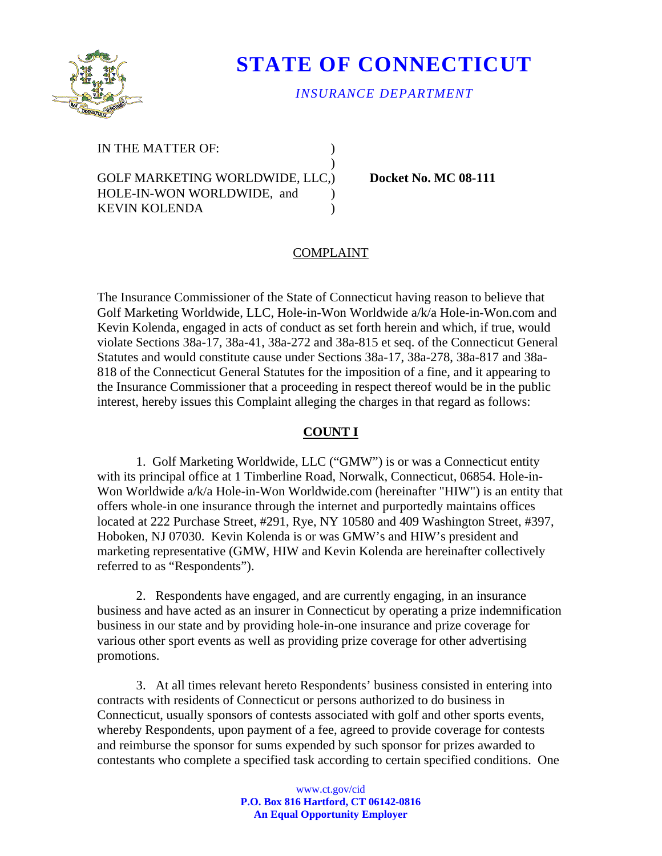

# **STATE OF CONNECTICUT**

## *INSURANCE DEPARTMENT*

IN THE MATTER OF:  $\qquad \qquad$ )

GOLF MARKETING WORLDWIDE, LLC.) Docket No. MC 08-111 HOLE-IN-WON WORLDWIDE, and ) KEVIN KOLENDA (1999)

 $)$ 

## COMPLAINT

The Insurance Commissioner of the State of Connecticut having reason to believe that Golf Marketing Worldwide, LLC, Hole-in-Won Worldwide a/k/a Hole-in-Won.com and Kevin Kolenda, engaged in acts of conduct as set forth herein and which, if true, would violate Sections 38a-17, 38a-41, 38a-272 and 38a-815 et seq. of the Connecticut General Statutes and would constitute cause under Sections 38a-17, 38a-278, 38a-817 and 38a-818 of the Connecticut General Statutes for the imposition of a fine, and it appearing to the Insurance Commissioner that a proceeding in respect thereof would be in the public interest, hereby issues this Complaint alleging the charges in that regard as follows:

#### **COUNT I**

1. Golf Marketing Worldwide, LLC ("GMW") is or was a Connecticut entity with its principal office at 1 Timberline Road, Norwalk, Connecticut, 06854. Hole-in-Won Worldwide a/k/a Hole-in-Won Worldwide.com (hereinafter "HIW") is an entity that offers whole-in one insurance through the internet and purportedly maintains offices located at 222 Purchase Street, #291, Rye, NY 10580 and 409 Washington Street, #397, Hoboken, NJ 07030. Kevin Kolenda is or was GMW's and HIW's president and marketing representative (GMW, HIW and Kevin Kolenda are hereinafter collectively referred to as "Respondents").

2. Respondents have engaged, and are currently engaging, in an insurance business and have acted as an insurer in Connecticut by operating a prize indemnification business in our state and by providing hole-in-one insurance and prize coverage for various other sport events as well as providing prize coverage for other advertising promotions.

3. At all times relevant hereto Respondents' business consisted in entering into contracts with residents of Connecticut or persons authorized to do business in Connecticut, usually sponsors of contests associated with golf and other sports events, whereby Respondents, upon payment of a fee, agreed to provide coverage for contests and reimburse the sponsor for sums expended by such sponsor for prizes awarded to contestants who complete a specified task according to certain specified conditions. One

> www.ct.gov/cid **P.O. Box 816 Hartford, CT 06142-0816 An Equal Opportunity Employer**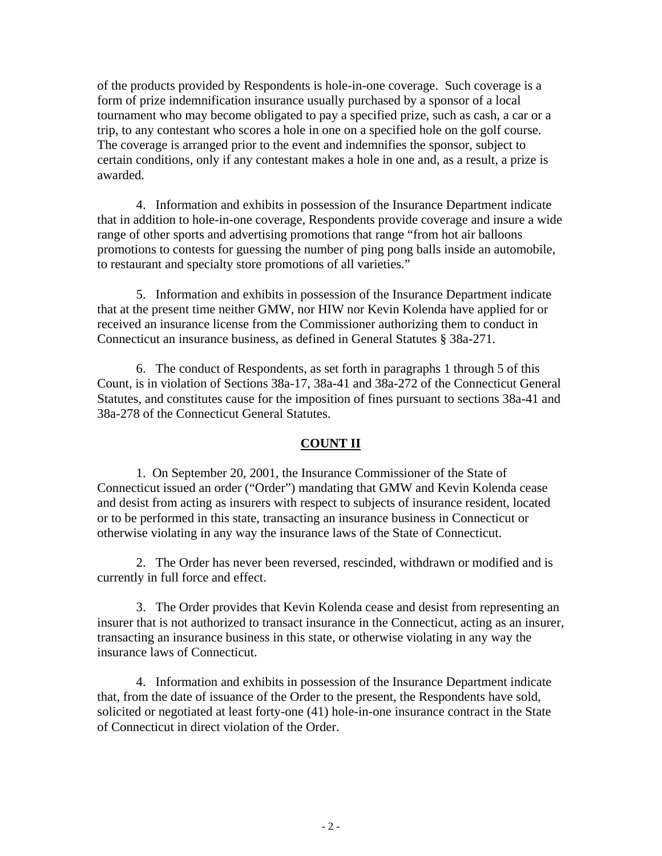of the products provided by Respondents is hole-in-one coverage. Such coverage is a form of prize indemnification insurance usually purchased by a sponsor of a local tournament who may become obligated to pay a specified prize, such as cash, a car or a trip, to any contestant who scores a hole in one on a specified hole on the golf course. The coverage is arranged prior to the event and indemnifies the sponsor, subject to certain conditions, only if any contestant makes a hole in one and, as a result, a prize is awarded.

4. Information and exhibits in possession of the Insurance Department indicate that in addition to hole-in-one coverage, Respondents provide coverage and insure a wide range of other sports and advertising promotions that range "from hot air balloons promotions to contests for guessing the number of ping pong balls inside an automobile, to restaurant and specialty store promotions of all varieties."

5. Information and exhibits in possession of the Insurance Department indicate that at the present time neither GMW, nor HIW nor Kevin Kolenda have applied for or received an insurance license from the Commissioner authorizing them to conduct in Connecticut an insurance business, as defined in General Statutes § 38a-271.

6. The conduct of Respondents, as set forth in paragraphs 1 through 5 of this Count, is in violation of Sections 38a-17, 38a-41 and 38a-272 of the Connecticut General Statutes, and constitutes cause for the imposition of fines pursuant to sections 38a-41 and 38a-278 of the Connecticut General Statutes.

## **COUNT II**

1. On September 20, 2001, the Insurance Commissioner of the State of Connecticut issued an order ("Order") mandating that GMW and Kevin Kolenda cease and desist from acting as insurers with respect to subjects of insurance resident, located or to be performed in this state, transacting an insurance business in Connecticut or otherwise violating in any way the insurance laws of the State of Connecticut.

2. The Order has never been reversed, rescinded, withdrawn or modified and is currently in full force and effect.

3. The Order provides that Kevin Kolenda cease and desist from representing an insurer that is not authorized to transact insurance in the Connecticut, acting as an insurer, transacting an insurance business in this state, or otherwise violating in any way the insurance laws of Connecticut.

4. Information and exhibits in possession of the Insurance Department indicate that, from the date of issuance of the Order to the present, the Respondents have sold, solicited or negotiated at least forty-one (41) hole-in-one insurance contract in the State of Connecticut in direct violation of the Order.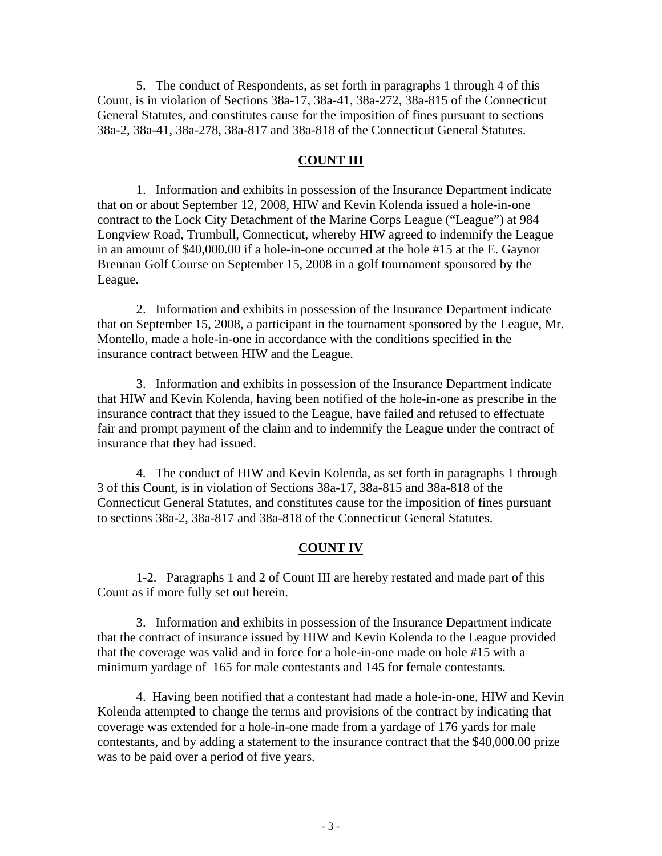5. The conduct of Respondents, as set forth in paragraphs 1 through 4 of this Count, is in violation of Sections 38a-17, 38a-41, 38a-272, 38a-815 of the Connecticut General Statutes, and constitutes cause for the imposition of fines pursuant to sections 38a-2, 38a-41, 38a-278, 38a-817 and 38a-818 of the Connecticut General Statutes.

#### **COUNT III**

1. Information and exhibits in possession of the Insurance Department indicate that on or about September 12, 2008, HIW and Kevin Kolenda issued a hole-in-one contract to the Lock City Detachment of the Marine Corps League ("League") at 984 Longview Road, Trumbull, Connecticut, whereby HIW agreed to indemnify the League in an amount of \$40,000.00 if a hole-in-one occurred at the hole #15 at the E. Gaynor Brennan Golf Course on September 15, 2008 in a golf tournament sponsored by the League.

2. Information and exhibits in possession of the Insurance Department indicate that on September 15, 2008, a participant in the tournament sponsored by the League, Mr. Montello, made a hole-in-one in accordance with the conditions specified in the insurance contract between HIW and the League.

3. Information and exhibits in possession of the Insurance Department indicate that HIW and Kevin Kolenda, having been notified of the hole-in-one as prescribe in the insurance contract that they issued to the League, have failed and refused to effectuate fair and prompt payment of the claim and to indemnify the League under the contract of insurance that they had issued.

4. The conduct of HIW and Kevin Kolenda, as set forth in paragraphs 1 through 3 of this Count, is in violation of Sections 38a-17, 38a-815 and 38a-818 of the Connecticut General Statutes, and constitutes cause for the imposition of fines pursuant to sections 38a-2, 38a-817 and 38a-818 of the Connecticut General Statutes.

## **COUNT IV**

1-2. Paragraphs 1 and 2 of Count III are hereby restated and made part of this Count as if more fully set out herein.

3. Information and exhibits in possession of the Insurance Department indicate that the contract of insurance issued by HIW and Kevin Kolenda to the League provided that the coverage was valid and in force for a hole-in-one made on hole #15 with a minimum yardage of 165 for male contestants and 145 for female contestants.

4. Having been notified that a contestant had made a hole-in-one, HIW and Kevin Kolenda attempted to change the terms and provisions of the contract by indicating that coverage was extended for a hole-in-one made from a yardage of 176 yards for male contestants, and by adding a statement to the insurance contract that the \$40,000.00 prize was to be paid over a period of five years.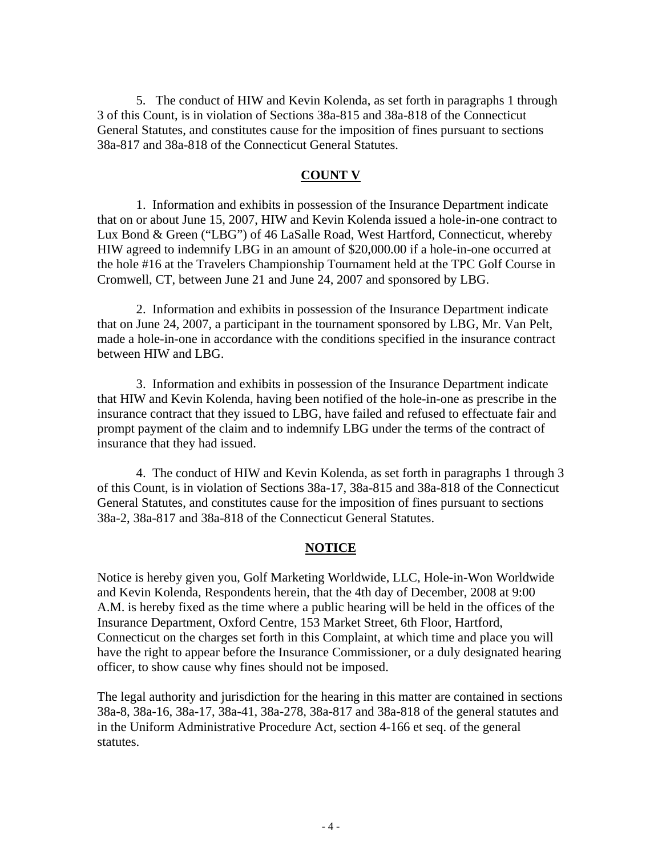5. The conduct of HIW and Kevin Kolenda, as set forth in paragraphs 1 through 3 of this Count, is in violation of Sections 38a-815 and 38a-818 of the Connecticut General Statutes, and constitutes cause for the imposition of fines pursuant to sections 38a-817 and 38a-818 of the Connecticut General Statutes.

#### **COUNT V**

1. Information and exhibits in possession of the Insurance Department indicate that on or about June 15, 2007, HIW and Kevin Kolenda issued a hole-in-one contract to Lux Bond & Green ("LBG") of 46 LaSalle Road, West Hartford, Connecticut, whereby HIW agreed to indemnify LBG in an amount of \$20,000.00 if a hole-in-one occurred at the hole #16 at the Travelers Championship Tournament held at the TPC Golf Course in Cromwell, CT, between June 21 and June 24, 2007 and sponsored by LBG.

2. Information and exhibits in possession of the Insurance Department indicate that on June 24, 2007, a participant in the tournament sponsored by LBG, Mr. Van Pelt, made a hole-in-one in accordance with the conditions specified in the insurance contract between HIW and LBG.

3. Information and exhibits in possession of the Insurance Department indicate that HIW and Kevin Kolenda, having been notified of the hole-in-one as prescribe in the insurance contract that they issued to LBG, have failed and refused to effectuate fair and prompt payment of the claim and to indemnify LBG under the terms of the contract of insurance that they had issued.

4. The conduct of HIW and Kevin Kolenda, as set forth in paragraphs 1 through 3 of this Count, is in violation of Sections 38a-17, 38a-815 and 38a-818 of the Connecticut General Statutes, and constitutes cause for the imposition of fines pursuant to sections 38a-2, 38a-817 and 38a-818 of the Connecticut General Statutes.

## **NOTICE**

Notice is hereby given you, Golf Marketing Worldwide, LLC, Hole-in-Won Worldwide and Kevin Kolenda, Respondents herein, that the 4th day of December, 2008 at 9:00 A.M. is hereby fixed as the time where a public hearing will be held in the offices of the Insurance Department, Oxford Centre, 153 Market Street, 6th Floor, Hartford, Connecticut on the charges set forth in this Complaint, at which time and place you will have the right to appear before the Insurance Commissioner, or a duly designated hearing officer, to show cause why fines should not be imposed.

The legal authority and jurisdiction for the hearing in this matter are contained in sections 38a-8, 38a-16, 38a-17, 38a-41, 38a-278, 38a-817 and 38a-818 of the general statutes and in the Uniform Administrative Procedure Act, section 4-166 et seq. of the general statutes.